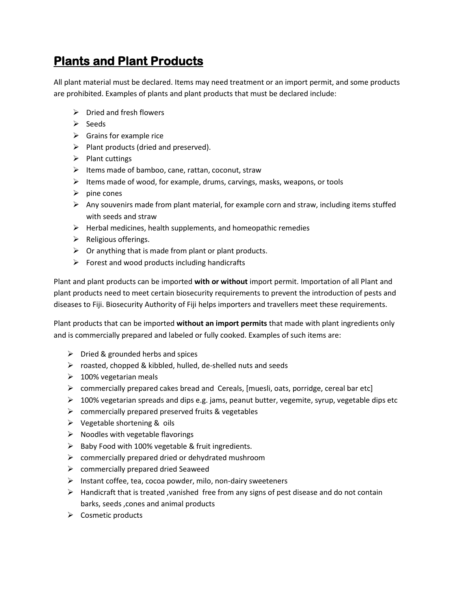## **Plants and Plant Products**

All plant material must be declared. Items may need treatment or an import permit, and some products are prohibited. Examples of plants and plant products that must be declared include:

- $\triangleright$  Dried and fresh flowers
- $\triangleright$  Seeds
- $\triangleright$  Grains for example rice
- $\triangleright$  Plant products (dried and preserved).
- $\triangleright$  Plant cuttings
- $\triangleright$  Items made of bamboo, cane, rattan, coconut, straw
- $\triangleright$  Items made of wood, for example, drums, carvings, masks, weapons, or tools
- $\triangleright$  pine cones
- $\triangleright$  Any souvenirs made from plant material, for example corn and straw, including items stuffed with seeds and straw
- $\triangleright$  Herbal medicines, health supplements, and homeopathic remedies
- $\triangleright$  Religious offerings.
- $\triangleright$  Or anything that is made from plant or plant products.
- $\triangleright$  Forest and wood products including handicrafts

Plant and plant products can be imported **with or without** import permit. Importation of all Plant and plant products need to meet certain biosecurity requirements to prevent the introduction of pests and diseases to Fiji. Biosecurity Authority of Fiji helps importers and travellers meet these requirements.

Plant products that can be imported **without an import permits** that made with plant ingredients only and is commercially prepared and labeled or fully cooked. Examples of such items are:

- $\triangleright$  Dried & grounded herbs and spices
- $\triangleright$  roasted, chopped & kibbled, hulled, de-shelled nuts and seeds
- $\geq 100\%$  vegetarian meals
- $\triangleright$  commercially prepared cakes bread and Cereals, [muesli, oats, porridge, cereal bar etc]
- $\triangleright$  100% vegetarian spreads and dips e.g. jams, peanut butter, vegemite, syrup, vegetable dips etc
- $\triangleright$  commercially prepared preserved fruits & vegetables
- $\triangleright$  Vegetable shortening & oils
- $\triangleright$  Noodles with vegetable flavorings
- $\triangleright$  Baby Food with 100% vegetable & fruit ingredients.
- $\triangleright$  commercially prepared dried or dehydrated mushroom
- $\triangleright$  commercially prepared dried Seaweed
- $\triangleright$  Instant coffee, tea, cocoa powder, milo, non-dairy sweeteners
- $\triangleright$  Handicraft that is treated , vanished free from any signs of pest disease and do not contain barks, seeds ,cones and animal products
- $\triangleright$  Cosmetic products